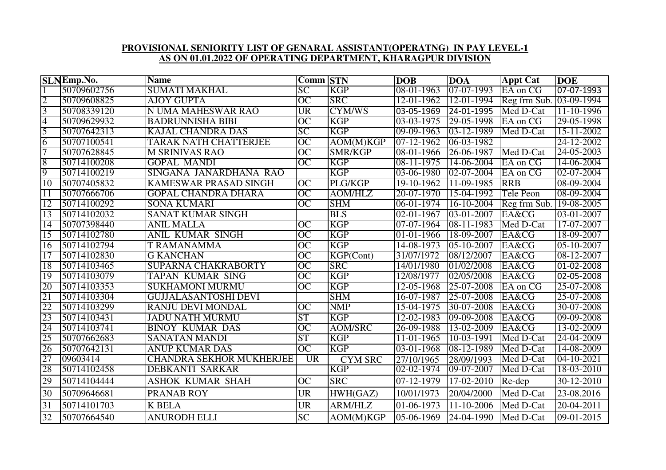## **PROVISIONAL SENIORITY LIST OF GENARAL ASSISTANT(OPERATNG) IN PAY LEVEL-1 AS ON 01.01.2022 OF OPERATING DEPARTMENT, KHARAGPUR DIVISION**

|                 | <b>SLNEmp.No.</b> | <b>Name</b>                     | <b>Comm STN</b> |                | <b>DOB</b>                | <b>DOA</b>       | <b>Appt Cat</b>                    | <b>DOE</b>       |
|-----------------|-------------------|---------------------------------|-----------------|----------------|---------------------------|------------------|------------------------------------|------------------|
|                 | 50709602756       | <b>SUMATI MAKHAL</b>            | $\overline{SC}$ | <b>KGP</b>     | $08-01-1963$              | $07-07-1993$     | EA on CG                           | 07-07-1993       |
| $\overline{2}$  | 50709608825       | <b>AJOY GUPTA</b>               | $\overline{OC}$ | <b>SRC</b>     | 12-01-1962                |                  | 12-01-1994 Reg frm Sub. 03-09-1994 |                  |
| $\overline{3}$  | 50708339120       | N UMA MAHESWAR RAO              | <b>UR</b>       | <b>CYM/WS</b>  | 03-05-1969                | 24-01-1995       | Med D-Cat                          | $11 - 10 - 1996$ |
| $\overline{4}$  | 50709629932       | <b>BADRUNNISHA BIBI</b>         | OC              | <b>KGP</b>     | 03-03-1975                | 29-05-1998       | EA on CG                           | 29-05-1998       |
| 5               | 50707642313       | <b>KAJAL CHANDRA DAS</b>        | SC              | <b>KGP</b>     | $09-09-1963$              | 03-12-1989       | Med D-Cat                          | 15-11-2002       |
| 6               | 50707100541       | TARAK NATH CHATTERJEE           | $\overline{OC}$ | AOM(M)KGP      | $07-12-1962$              | 06-03-1982       |                                    | 24-12-2002       |
| 7               | 50707628845       | <b>M SRINIVAS RAO</b>           | $\overline{OC}$ | <b>SMR/KGP</b> | 08-01-1966                | 26-06-1987       | Med D-Cat                          | 24-05-2003       |
| 8               | 50714100208       | <b>GOPAL MANDI</b>              | OC              | <b>KGP</b>     | 08-11-1975                | $14 - 06 - 2004$ | EA on CG                           | 14-06-2004       |
| 9               | 50714100219       | SINGANA JANARDHANA RAO          |                 | <b>KGP</b>     | 03-06-1980                | 02-07-2004       | EA on CG                           | 02-07-2004       |
| 10              | 50707405832       | KAMESWAR PRASAD SINGH           | <b>OC</b>       | PLG/KGP        | 19-10-1962                | 11-09-1985       | <b>RRB</b>                         | 08-09-2004       |
| $\overline{11}$ | 50707666706       | <b>GOPAL CHANDRA DHARA</b>      | $\overline{OC}$ | <b>AOM/HLZ</b> | $20 - 07 - 1970$          | 15-04-1992       | <b>Tele Peon</b>                   | 08-09-2004       |
| $\overline{12}$ | 50714100292       | <b>SONA KUMARI</b>              | $\overline{OC}$ | <b>SHM</b>     | $06 - 01 - 1974$          | 16-10-2004       | Reg frm Sub.                       | 19-08-2005       |
| 13              | 50714102032       | SANAT KUMAR SINGH               |                 | <b>BLS</b>     | 02-01-1967                | $03-01-2007$     | EA&CG                              | 03-01-2007       |
| 14              | 50707398440       | <b>ANIL MALLA</b>               | OC              | <b>KGP</b>     | 07-07-1964                | 08-11-1983       | Med D-Cat                          | 17-07-2007       |
| $\overline{15}$ | 50714102780       | <b>ANIL KUMAR SINGH</b>         | $\overline{OC}$ | <b>KGP</b>     | 01-01-1966                | 18-09-2007       | EA&CG                              | 18-09-2007       |
| 16              | 50714102794       | <b>T RAMANAMMA</b>              | $\overline{OC}$ | <b>KGP</b>     | 14-08-1973                | 05-10-2007       | EA&CG                              | $05 - 10 - 2007$ |
| 17              | 50714102830       | <b>G KANCHAN</b>                | OC              | KGP(Cont)      | 31/07/1972                | 08/12/2007       | EA&CG                              | 08-12-2007       |
| 18              | 50714103465       | <b>SUPARNA CHAKRABORTY</b>      | $\overline{OC}$ | <b>SRC</b>     | 14/01/1980                | 01/02/2008       | EA&CG                              | 01-02-2008       |
| 19              | 50714103079       | TAPAN KUMAR SING                | $\overline{OC}$ | <b>KGP</b>     | 12/08/1977                | 02/05/2008       | EA&CG                              | 02-05-2008       |
| 20              | 50714103353       | <b>SUKHAMONI MURMU</b>          | $\overline{OC}$ | <b>KGP</b>     | $12 - 05 - 1968$          | 25-07-2008       | EA on CG                           | 25-07-2008       |
| 21              | 50714103304       | <b>GUJJALASANTOSHI DEVI</b>     |                 | <b>SHM</b>     | 16-07-1987                | 25-07-2008       | EA&CG                              | 25-07-2008       |
| 22              | 50714103299       | <b>RANJU DEVI MONDAL</b>        | $\overline{OC}$ | <b>NMP</b>     | 15-04-1975                | 30-07-2008       | EA&CG                              | 30-07-2008       |
| 23              | 50714103431       | <b>JADU NATH MURMU</b>          | <b>ST</b>       | <b>KGP</b>     | 12-02-1983                | 09-09-2008       | EA&CG                              | 09-09-2008       |
| 24              | 50714103741       | <b>BINOY KUMAR DAS</b>          | $\overline{OC}$ | <b>AOM/SRC</b> | 26-09-1988                | 13-02-2009       | EA&CG                              | 13-02-2009       |
| 25              | 50707662683       | <b>SANATAN MANDI</b>            | <b>ST</b>       | <b>KGP</b>     | 11-01-1965                | 10-03-1991       | Med D-Cat                          | 24-04-2009       |
| 26              | 50707642131       | <b>ANUP KUMAR DAS</b>           | OC              | <b>KGP</b>     | 03-01-1968                | 08-12-1989       | Med D-Cat                          | 14-08-2009       |
| 27              | 09603414          | <b>CHANDRA SEKHOR MUKHERJEE</b> | UR              | <b>CYM SRC</b> | 27/10/1965                | 28/09/1993       | Med D-Cat                          | 04-10-2021       |
| 28              | 50714102458       | <b>DEBKANTI SARKAR</b>          |                 | <b>KGP</b>     | 02-02-1974                | 09-07-2007       | Med D-Cat                          | 18-03-2010       |
| 29              | 50714104444       | ASHOK KUMAR SHAH                | <b>OC</b>       | <b>SRC</b>     | 07-12-1979                | 17-02-2010       | Re-dep                             | 30-12-2010       |
| 30              | 50709646681       | PRANAB ROY                      | <b>UR</b>       | HWH(GAZ)       | 10/01/1973                | 20/04/2000       | Med D-Cat                          | 23-08.2016       |
| 31              | 50714101703       | <b>K BELA</b>                   | <b>UR</b>       | <b>ARM/HLZ</b> | 01-06-1973                | 11-10-2006       | Med D-Cat                          | 20-04-2011       |
| 32              | 50707664540       | <b>ANURODH ELLI</b>             | <b>SC</b>       | AOM(M)KGP      | $ 05-06-1969 $ 24-04-1990 |                  | Med D-Cat                          | 09-01-2015       |